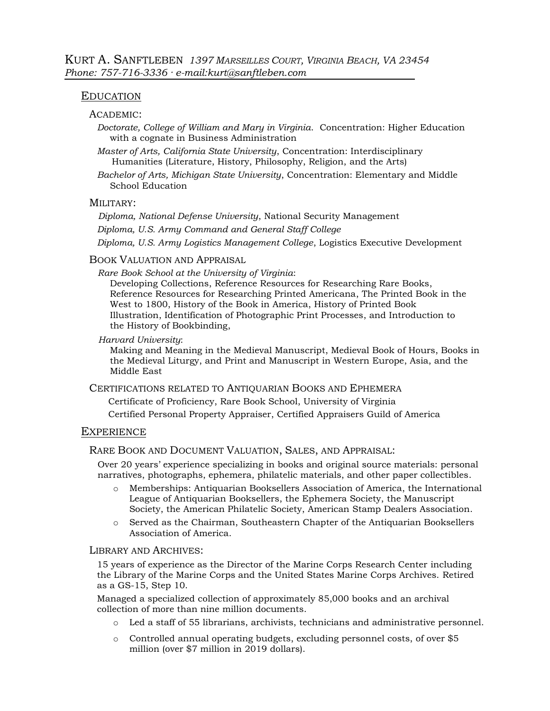## EDUCATION

## ACADEMIC:

*Doctorate, College of William and Mary in Virginia*. Concentration: Higher Education with a cognate in Business Administration

*Master of Arts, California State University*, Concentration: Interdisciplinary Humanities (Literature, History, Philosophy, Religion, and the Arts)

*Bachelor of Arts, Michigan State University*, Concentration: Elementary and Middle School Education

## MILITARY:

*Diploma, National Defense University*, National Security Management

*Diploma, U.S. Army Command and General Staff College*

*Diploma, U.S. Army Logistics Management College*, Logistics Executive Development

### BOOK VALUATION AND APPRAISAL

*Rare Book School at the University of Virginia*:

Developing Collections, Reference Resources for Researching Rare Books, Reference Resources for Researching Printed Americana, The Printed Book in the West to 1800, History of the Book in America, History of Printed Book Illustration, Identification of Photographic Print Processes, and Introduction to the History of Bookbinding,

## *Harvard University*:

Making and Meaning in the Medieval Manuscript, Medieval Book of Hours, Books in the Medieval Liturgy, and Print and Manuscript in Western Europe, Asia, and the Middle East

CERTIFICATIONS RELATED TO ANTIQUARIAN BOOKS AND EPHEMERA

Certificate of Proficiency, Rare Book School, University of Virginia

Certified Personal Property Appraiser, Certified Appraisers Guild of America

### **EXPERIENCE**

## RARE BOOK AND DOCUMENT VALUATION, SALES, AND APPRAISAL:

Over 20 years' experience specializing in books and original source materials: personal narratives, photographs, ephemera, philatelic materials, and other paper collectibles.

- o Memberships: Antiquarian Booksellers Association of America, the International League of Antiquarian Booksellers, the Ephemera Society, the Manuscript Society, the American Philatelic Society, American Stamp Dealers Association.
- o Served as the Chairman, Southeastern Chapter of the Antiquarian Booksellers Association of America.

### LIBRARY AND ARCHIVES:

15 years of experience as the Director of the Marine Corps Research Center including the Library of the Marine Corps and the United States Marine Corps Archives. Retired as a GS-15, Step 10.

Managed a specialized collection of approximately 85,000 books and an archival collection of more than nine million documents.

- o Led a staff of 55 librarians, archivists, technicians and administrative personnel.
- o Controlled annual operating budgets, excluding personnel costs, of over \$5 million (over \$7 million in 2019 dollars).